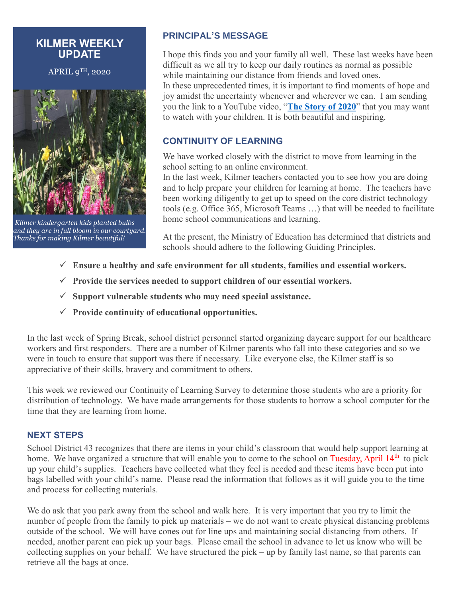### **KILMER WEEKLY UPDATE**

APRIL 9TH, 2020



*Kilmer kindergarten kids planted bulbs and they are in full bloom in our courtyard. Thanks for making Kilmer beautiful!*

### **PRINCIPAL'S MESSAGE**

I hope this finds you and your family all well. These last weeks have been difficult as we all try to keep our daily routines as normal as possible while maintaining our distance from friends and loved ones.

In these unprecedented times, it is important to find moments of hope and joy amidst the uncertainty whenever and wherever we can. I am sending you the link to a YouTube video, "**[The Story of 2020](https://www.youtube.com/watch?v=Lp5r8tvQbAQ)**" that you may want to watch with your children. It is both beautiful and inspiring.

## **CONTINUITY OF LEARNING**

We have worked closely with the district to move from learning in the school setting to an online environment.

In the last week, Kilmer teachers contacted you to see how you are doing and to help prepare your children for learning at home. The teachers have been working diligently to get up to speed on the core district technology tools (e.g. Office 365, Microsoft Teams …) that will be needed to facilitate home school communications and learning.

At the present, the Ministry of Education has determined that districts and schools should adhere to the following Guiding Principles.

- **Ensure a healthy and safe environment for all students, families and essential workers.**
- **Provide the services needed to support children of our essential workers.**
- **Support vulnerable students who may need special assistance.**
- **Provide continuity of educational opportunities.**

In the last week of Spring Break, school district personnel started organizing daycare support for our healthcare workers and first responders. There are a number of Kilmer parents who fall into these categories and so we were in touch to ensure that support was there if necessary. Like everyone else, the Kilmer staff is so appreciative of their skills, bravery and commitment to others.

This week we reviewed our Continuity of Learning Survey to determine those students who are a priority for distribution of technology. We have made arrangements for those students to borrow a school computer for the time that they are learning from home.

#### **NEXT STEPS**

School District 43 recognizes that there are items in your child's classroom that would help support learning at home. We have organized a structure that will enable you to come to the school on Tuesday, April 14<sup>th</sup> to pick up your child's supplies. Teachers have collected what they feel is needed and these items have been put into bags labelled with your child's name. Please read the information that follows as it will guide you to the time and process for collecting materials.

We do ask that you park away from the school and walk here. It is very important that you try to limit the number of people from the family to pick up materials – we do not want to create physical distancing problems outside of the school. We will have cones out for line ups and maintaining social distancing from others. If needed, another parent can pick up your bags. Please email the school in advance to let us know who will be collecting supplies on your behalf. We have structured the pick – up by family last name, so that parents can retrieve all the bags at once.